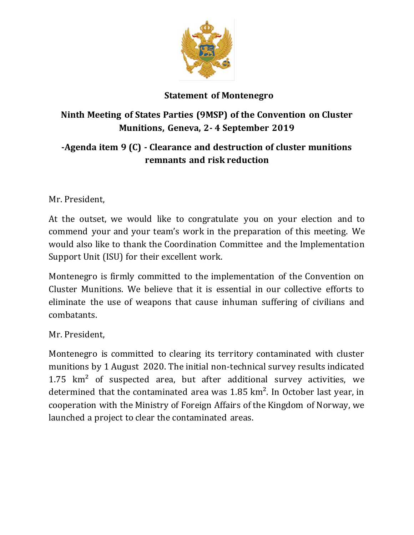

## **Statement of Montenegro**

## **Ninth Meeting of States Parties (9MSP) of the Convention on Cluster Munitions, Geneva, 2- 4 September 2019**

## **-Agenda item 9 (C) - Clearance and destruction of cluster munitions remnants and risk reduction**

Mr. President,

At the outset, we would like to congratulate you on your election and to commend your and your team's work in the preparation of this meeting. We would also like to thank the Coordination Committee and the Implementation Support Unit (ISU) for their excellent work.

Montenegro is firmly committed to the implementation of the Convention on Cluster Munitions. We believe that it is essential in our collective efforts to eliminate the use of weapons that cause inhuman suffering of civilians and combatants.

Mr. President,

Montenegro is committed to clearing its territory contaminated with cluster munitions by 1 August 2020. The initial non-technical survey results indicated  $1.75$  km<sup>2</sup> of suspected area, but after additional survey activities, we determined that the contaminated area was 1.85 km². In October last year, in cooperation with the Ministry of Foreign Affairs of the Kingdom of Norway, we launched a project to clear the contaminated areas.